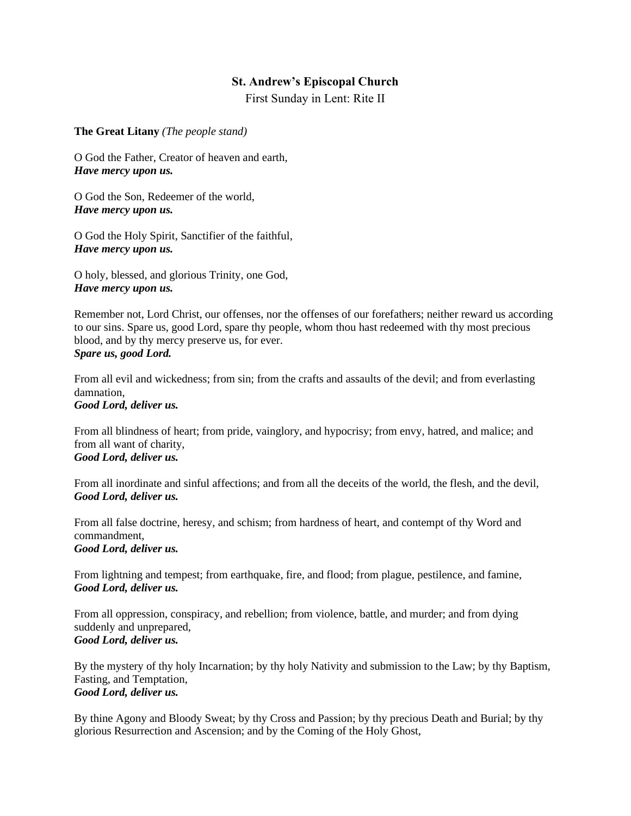## **St. Andrew's Episcopal Church**

First Sunday in Lent: Rite II

**The Great Litany** *(The people stand)*

O God the Father, Creator of heaven and earth, *Have mercy upon us.*

O God the Son, Redeemer of the world, *Have mercy upon us.*

O God the Holy Spirit, Sanctifier of the faithful, *Have mercy upon us.*

O holy, blessed, and glorious Trinity, one God, *Have mercy upon us.*

Remember not, Lord Christ, our offenses, nor the offenses of our forefathers; neither reward us according to our sins. Spare us, good Lord, spare thy people, whom thou hast redeemed with thy most precious blood, and by thy mercy preserve us, for ever. *Spare us, good Lord.*

From all evil and wickedness; from sin; from the crafts and assaults of the devil; and from everlasting damnation, *Good Lord, deliver us.*

From all blindness of heart; from pride, vainglory, and hypocrisy; from envy, hatred, and malice; and from all want of charity, *Good Lord, deliver us.*

From all inordinate and sinful affections; and from all the deceits of the world, the flesh, and the devil, *Good Lord, deliver us.*

From all false doctrine, heresy, and schism; from hardness of heart, and contempt of thy Word and commandment,

*Good Lord, deliver us.*

From lightning and tempest; from earthquake, fire, and flood; from plague, pestilence, and famine, *Good Lord, deliver us.*

From all oppression, conspiracy, and rebellion; from violence, battle, and murder; and from dying suddenly and unprepared, *Good Lord, deliver us.*

By the mystery of thy holy Incarnation; by thy holy Nativity and submission to the Law; by thy Baptism, Fasting, and Temptation, *Good Lord, deliver us.*

By thine Agony and Bloody Sweat; by thy Cross and Passion; by thy precious Death and Burial; by thy glorious Resurrection and Ascension; and by the Coming of the Holy Ghost,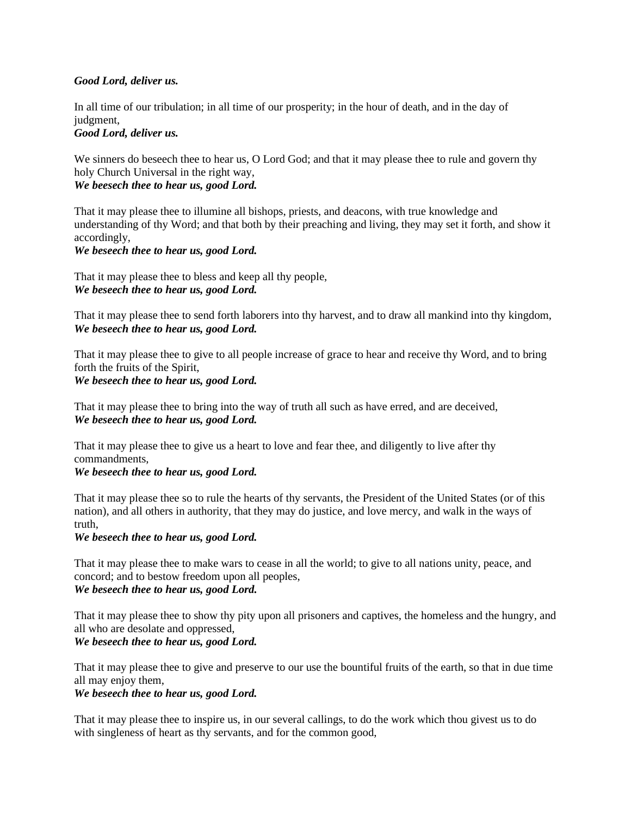### *Good Lord, deliver us.*

In all time of our tribulation; in all time of our prosperity; in the hour of death, and in the day of judgment,

## *Good Lord, deliver us.*

We sinners do beseech thee to hear us, O Lord God; and that it may please thee to rule and govern thy holy Church Universal in the right way,

## *We beesech thee to hear us, good Lord.*

That it may please thee to illumine all bishops, priests, and deacons, with true knowledge and understanding of thy Word; and that both by their preaching and living, they may set it forth, and show it accordingly,

## *We beseech thee to hear us, good Lord.*

That it may please thee to bless and keep all thy people, *We beseech thee to hear us, good Lord.*

That it may please thee to send forth laborers into thy harvest, and to draw all mankind into thy kingdom, *We beseech thee to hear us, good Lord.*

That it may please thee to give to all people increase of grace to hear and receive thy Word, and to bring forth the fruits of the Spirit,

*We beseech thee to hear us, good Lord.*

That it may please thee to bring into the way of truth all such as have erred, and are deceived, *We beseech thee to hear us, good Lord.*

That it may please thee to give us a heart to love and fear thee, and diligently to live after thy commandments,

## *We beseech thee to hear us, good Lord.*

That it may please thee so to rule the hearts of thy servants, the President of the United States (or of this nation), and all others in authority, that they may do justice, and love mercy, and walk in the ways of truth,

### *We beseech thee to hear us, good Lord.*

That it may please thee to make wars to cease in all the world; to give to all nations unity, peace, and concord; and to bestow freedom upon all peoples, *We beseech thee to hear us, good Lord.*

That it may please thee to show thy pity upon all prisoners and captives, the homeless and the hungry, and all who are desolate and oppressed, *We beseech thee to hear us, good Lord.*

That it may please thee to give and preserve to our use the bountiful fruits of the earth, so that in due time all may enjoy them, *We beseech thee to hear us, good Lord.*

That it may please thee to inspire us, in our several callings, to do the work which thou givest us to do with singleness of heart as thy servants, and for the common good,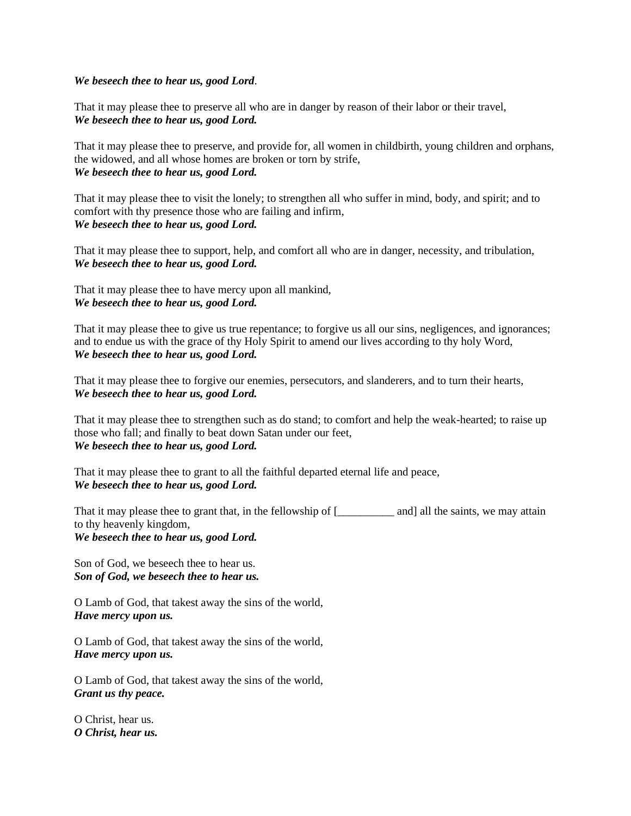#### *We beseech thee to hear us, good Lord*.

That it may please thee to preserve all who are in danger by reason of their labor or their travel, *We beseech thee to hear us, good Lord.*

That it may please thee to preserve, and provide for, all women in childbirth, young children and orphans, the widowed, and all whose homes are broken or torn by strife, *We beseech thee to hear us, good Lord.*

That it may please thee to visit the lonely; to strengthen all who suffer in mind, body, and spirit; and to comfort with thy presence those who are failing and infirm, *We beseech thee to hear us, good Lord.*

That it may please thee to support, help, and comfort all who are in danger, necessity, and tribulation, *We beseech thee to hear us, good Lord.*

That it may please thee to have mercy upon all mankind, *We beseech thee to hear us, good Lord.*

That it may please thee to give us true repentance; to forgive us all our sins, negligences, and ignorances; and to endue us with the grace of thy Holy Spirit to amend our lives according to thy holy Word, *We beseech thee to hear us, good Lord.*

That it may please thee to forgive our enemies, persecutors, and slanderers, and to turn their hearts, *We beseech thee to hear us, good Lord.*

That it may please thee to strengthen such as do stand; to comfort and help the weak-hearted; to raise up those who fall; and finally to beat down Satan under our feet, *We beseech thee to hear us, good Lord.*

That it may please thee to grant to all the faithful departed eternal life and peace, *We beseech thee to hear us, good Lord.*

That it may please thee to grant that, in the fellowship of [\_\_\_\_\_\_\_\_\_\_\_ and] all the saints, we may attain to thy heavenly kingdom, *We beseech thee to hear us, good Lord.*

Son of God, we beseech thee to hear us. *Son of God, we beseech thee to hear us.*

O Lamb of God, that takest away the sins of the world, *Have mercy upon us.*

O Lamb of God, that takest away the sins of the world, *Have mercy upon us.*

O Lamb of God, that takest away the sins of the world, *Grant us thy peace.*

O Christ, hear us. *O Christ, hear us.*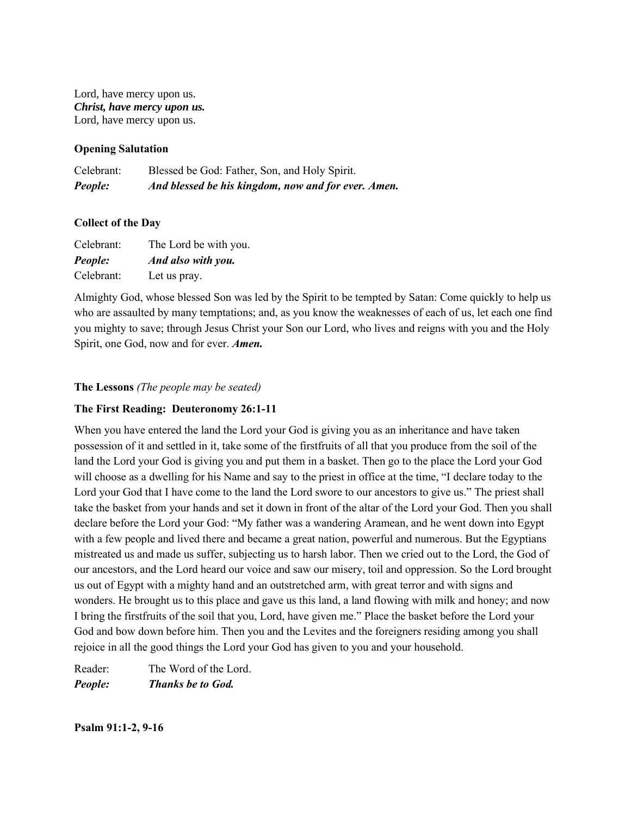Lord, have mercy upon us. *Christ, have mercy upon us.* Lord, have mercy upon us.

### **Opening Salutation**

| People:    | And blessed be his kingdom, now and for ever. Amen. |
|------------|-----------------------------------------------------|
| Celebrant: | Blessed be God: Father, Son, and Holy Spirit.       |

## **Collect of the Day**

| Celebrant: | The Lord be with you. |
|------------|-----------------------|
| People:    | And also with you.    |
| Celebrant: | Let us pray.          |

Almighty God, whose blessed Son was led by the Spirit to be tempted by Satan: Come quickly to help us who are assaulted by many temptations; and, as you know the weaknesses of each of us, let each one find you mighty to save; through Jesus Christ your Son our Lord, who lives and reigns with you and the Holy Spirit, one God, now and for ever. *Amen.*

## **The Lessons** *(The people may be seated)*

## **The First Reading: Deuteronomy 26:1-11**

When you have entered the land the Lord your God is giving you as an inheritance and have taken possession of it and settled in it, take some of the firstfruits of all that you produce from the soil of the land the Lord your God is giving you and put them in a basket. Then go to the place the Lord your God will choose as a dwelling for his Name and say to the priest in office at the time, "I declare today to the Lord your God that I have come to the land the Lord swore to our ancestors to give us." The priest shall take the basket from your hands and set it down in front of the altar of the Lord your God. Then you shall declare before the Lord your God: "My father was a wandering Aramean, and he went down into Egypt with a few people and lived there and became a great nation, powerful and numerous. But the Egyptians mistreated us and made us suffer, subjecting us to harsh labor. Then we cried out to the Lord, the God of our ancestors, and the Lord heard our voice and saw our misery, toil and oppression. So the Lord brought us out of Egypt with a mighty hand and an outstretched arm, with great terror and with signs and wonders. He brought us to this place and gave us this land, a land flowing with milk and honey; and now I bring the firstfruits of the soil that you, Lord, have given me." Place the basket before the Lord your God and bow down before him. Then you and the Levites and the foreigners residing among you shall rejoice in all the good things the Lord your God has given to you and your household.

Reader: The Word of the Lord. *People: Thanks be to God.*

**Psalm 91:1-2, 9-16**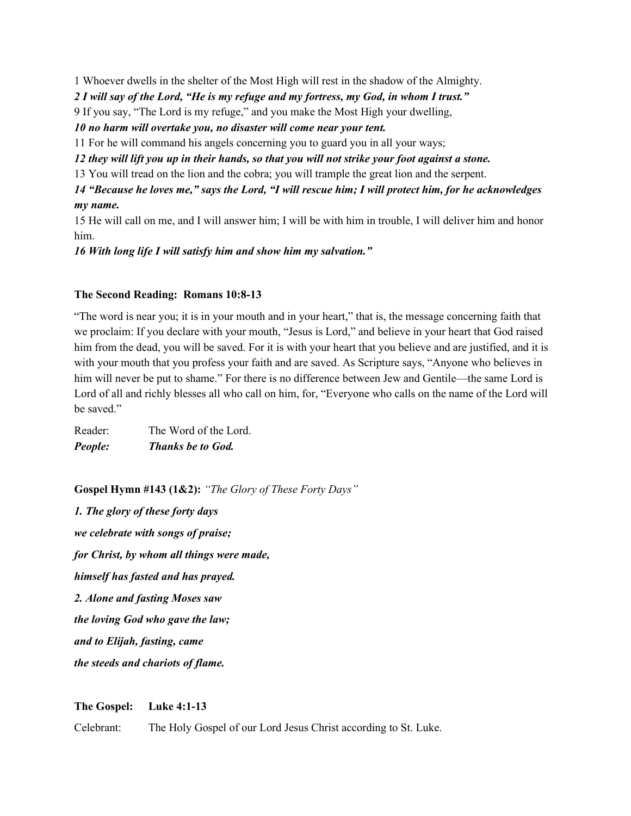1 Whoever dwells in the shelter of the Most High will rest in the shadow of the Almighty.

*2 I will say of the Lord, "He is my refuge and my fortress, my God, in whom I trust."*

9 If you say, "The Lord is my refuge," and you make the Most High your dwelling,

*10 no harm will overtake you, no disaster will come near your tent.*

11 For he will command his angels concerning you to guard you in all your ways;

*12 they will lift you up in their hands, so that you will not strike your foot against a stone.*

13 You will tread on the lion and the cobra; you will trample the great lion and the serpent.

*14 "Because he loves me," says the Lord, "I will rescue him; I will protect him, for he acknowledges my name.*

15 He will call on me, and I will answer him; I will be with him in trouble, I will deliver him and honor him.

*16 With long life I will satisfy him and show him my salvation."*

#### **The Second Reading: Romans 10:8-13**

"The word is near you; it is in your mouth and in your heart," that is, the message concerning faith that we proclaim: If you declare with your mouth, "Jesus is Lord," and believe in your heart that God raised him from the dead, you will be saved. For it is with your heart that you believe and are justified, and it is with your mouth that you profess your faith and are saved. As Scripture says, "Anyone who believes in him will never be put to shame." For there is no difference between Jew and Gentile—the same Lord is Lord of all and richly blesses all who call on him, for, "Everyone who calls on the name of the Lord will be saved."

Reader: The Word of the Lord. *People: Thanks be to God.*

**Gospel Hymn #143 (1&2):** *"The Glory of These Forty Days"*

*1. The glory of these forty days we celebrate with songs of praise; for Christ, by whom all things were made, himself has fasted and has prayed. 2. Alone and fasting Moses saw the loving God who gave the law; and to Elijah, fasting, came the steeds and chariots of flame.*

### **The Gospel: Luke 4:1-13**

Celebrant: The Holy Gospel of our Lord Jesus Christ according to St. Luke.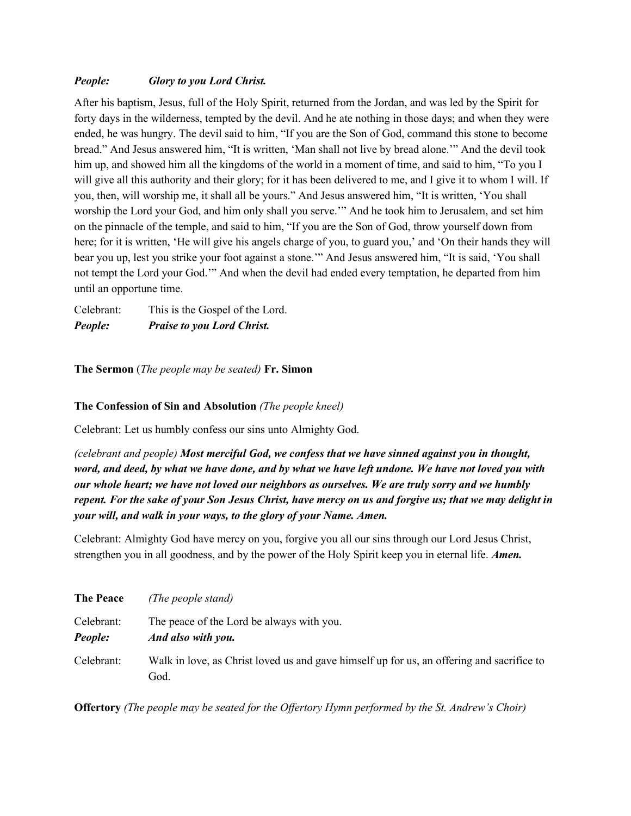## *People: Glory to you Lord Christ.*

After his baptism, Jesus, full of the Holy Spirit, returned from the Jordan, and was led by the Spirit for forty days in the wilderness, tempted by the devil. And he ate nothing in those days; and when they were ended, he was hungry. The devil said to him, "If you are the Son of God, command this stone to become bread." And Jesus answered him, "It is written, 'Man shall not live by bread alone.'" And the devil took him up, and showed him all the kingdoms of the world in a moment of time, and said to him, "To you I will give all this authority and their glory; for it has been delivered to me, and I give it to whom I will. If you, then, will worship me, it shall all be yours." And Jesus answered him, "It is written, 'You shall worship the Lord your God, and him only shall you serve.'" And he took him to Jerusalem, and set him on the pinnacle of the temple, and said to him, "If you are the Son of God, throw yourself down from here; for it is written, 'He will give his angels charge of you, to guard you,' and 'On their hands they will bear you up, lest you strike your foot against a stone.'" And Jesus answered him, "It is said, 'You shall not tempt the Lord your God.'" And when the devil had ended every temptation, he departed from him until an opportune time.

Celebrant: This is the Gospel of the Lord. *People: Praise to you Lord Christ.*

**The Sermon** (*The people may be seated)* **Fr. Simon**

### **The Confession of Sin and Absolution** *(The people kneel)*

Celebrant: Let us humbly confess our sins unto Almighty God.

*(celebrant and people) Most merciful God, we confess that we have sinned against you in thought, word, and deed, by what we have done, and by what we have left undone. We have not loved you with our whole heart; we have not loved our neighbors as ourselves. We are truly sorry and we humbly repent. For the sake of your Son Jesus Christ, have mercy on us and forgive us; that we may delight in your will, and walk in your ways, to the glory of your Name. Amen.*

Celebrant: Almighty God have mercy on you, forgive you all our sins through our Lord Jesus Christ, strengthen you in all goodness, and by the power of the Holy Spirit keep you in eternal life. *Amen.*

| <b>The Peace</b>      | (The people stand)                                                                                |
|-----------------------|---------------------------------------------------------------------------------------------------|
| Celebrant:<br>People: | The peace of the Lord be always with you.<br>And also with you.                                   |
| Celebrant:            | Walk in love, as Christ loved us and gave himself up for us, an offering and sacrifice to<br>God. |

**Offertory** *(The people may be seated for the Offertory Hymn performed by the St. Andrew's Choir)*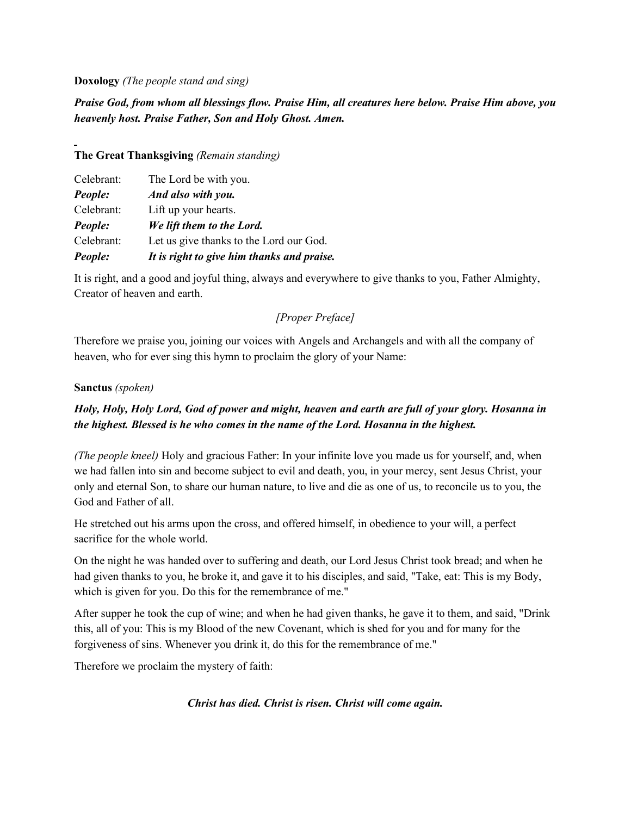**Doxology** *(The people stand and sing)*

*Praise God, from whom all blessings flow. Praise Him, all creatures here below. Praise Him above, you heavenly host. Praise Father, Son and Holy Ghost. Amen.*

**The Great Thanksgiving** *(Remain standing)*

| Celebrant: | The Lord be with you.                      |
|------------|--------------------------------------------|
| People:    | And also with you.                         |
| Celebrant: | Lift up your hearts.                       |
| People:    | We lift them to the Lord.                  |
| Celebrant: | Let us give thanks to the Lord our God.    |
| People:    | It is right to give him thanks and praise. |

It is right, and a good and joyful thing, always and everywhere to give thanks to you, Father Almighty, Creator of heaven and earth.

# *[Proper Preface]*

Therefore we praise you, joining our voices with Angels and Archangels and with all the company of heaven, who for ever sing this hymn to proclaim the glory of your Name:

## **Sanctus** *(spoken)*

# *Holy, Holy, Holy Lord, God of power and might, heaven and earth are full of your glory. Hosanna in the highest. Blessed is he who comes in the name of the Lord. Hosanna in the highest.*

*(The people kneel)* Holy and gracious Father: In your infinite love you made us for yourself, and, when we had fallen into sin and become subject to evil and death, you, in your mercy, sent Jesus Christ, your only and eternal Son, to share our human nature, to live and die as one of us, to reconcile us to you, the God and Father of all.

He stretched out his arms upon the cross, and offered himself, in obedience to your will, a perfect sacrifice for the whole world.

On the night he was handed over to suffering and death, our Lord Jesus Christ took bread; and when he had given thanks to you, he broke it, and gave it to his disciples, and said, "Take, eat: This is my Body, which is given for you. Do this for the remembrance of me."

After supper he took the cup of wine; and when he had given thanks, he gave it to them, and said, "Drink this, all of you: This is my Blood of the new Covenant, which is shed for you and for many for the forgiveness of sins. Whenever you drink it, do this for the remembrance of me."

Therefore we proclaim the mystery of faith:

## *Christ has died. Christ is risen. Christ will come again.*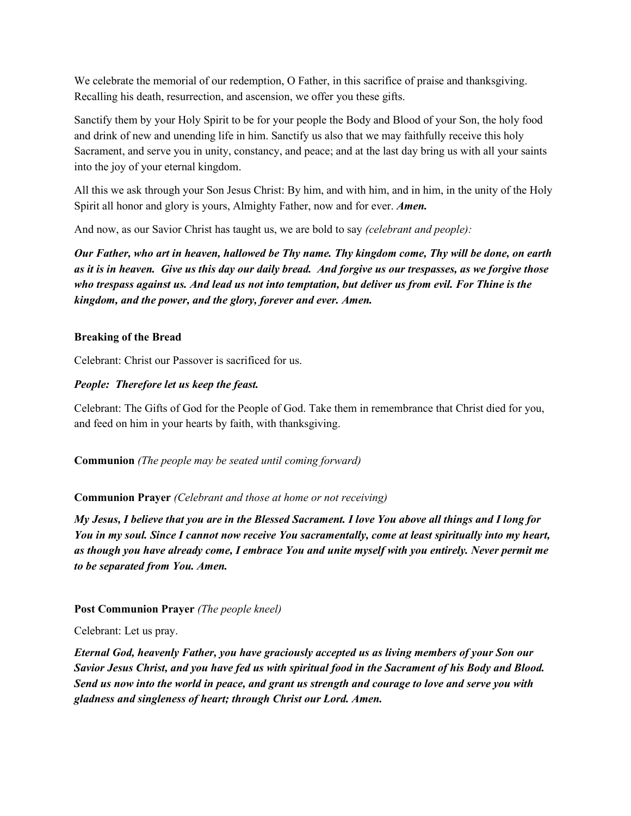We celebrate the memorial of our redemption, O Father, in this sacrifice of praise and thanksgiving. Recalling his death, resurrection, and ascension, we offer you these gifts.

Sanctify them by your Holy Spirit to be for your people the Body and Blood of your Son, the holy food and drink of new and unending life in him. Sanctify us also that we may faithfully receive this holy Sacrament, and serve you in unity, constancy, and peace; and at the last day bring us with all your saints into the joy of your eternal kingdom.

All this we ask through your Son Jesus Christ: By him, and with him, and in him, in the unity of the Holy Spirit all honor and glory is yours, Almighty Father, now and for ever. *Amen.*

And now, as our Savior Christ has taught us, we are bold to say *(celebrant and people):*

*Our Father, who art in heaven, hallowed be Thy name. Thy kingdom come, Thy will be done, on earth as it is in heaven. Give us this day our daily bread. And forgive us our trespasses, as we forgive those who trespass against us. And lead us not into temptation, but deliver us from evil. For Thine is the kingdom, and the power, and the glory, forever and ever. Amen.*

## **Breaking of the Bread**

Celebrant: Christ our Passover is sacrificed for us.

## *People: Therefore let us keep the feast.*

Celebrant: The Gifts of God for the People of God. Take them in remembrance that Christ died for you, and feed on him in your hearts by faith, with thanksgiving.

**Communion** *(The people may be seated until coming forward)*

### **Communion Prayer** *(Celebrant and those at home or not receiving)*

*My Jesus, I believe that you are in the Blessed Sacrament. I love You above all things and I long for You in my soul. Since I cannot now receive You sacramentally, come at least spiritually into my heart, as though you have already come, I embrace You and unite myself with you entirely. Never permit me to be separated from You. Amen.*

### **Post Communion Prayer** *(The people kneel)*

Celebrant: Let us pray.

*Eternal God, heavenly Father, you have graciously accepted us as living members of your Son our Savior Jesus Christ, and you have fed us with spiritual food in the Sacrament of his Body and Blood. Send us now into the world in peace, and grant us strength and courage to love and serve you with gladness and singleness of heart; through Christ our Lord. Amen.*